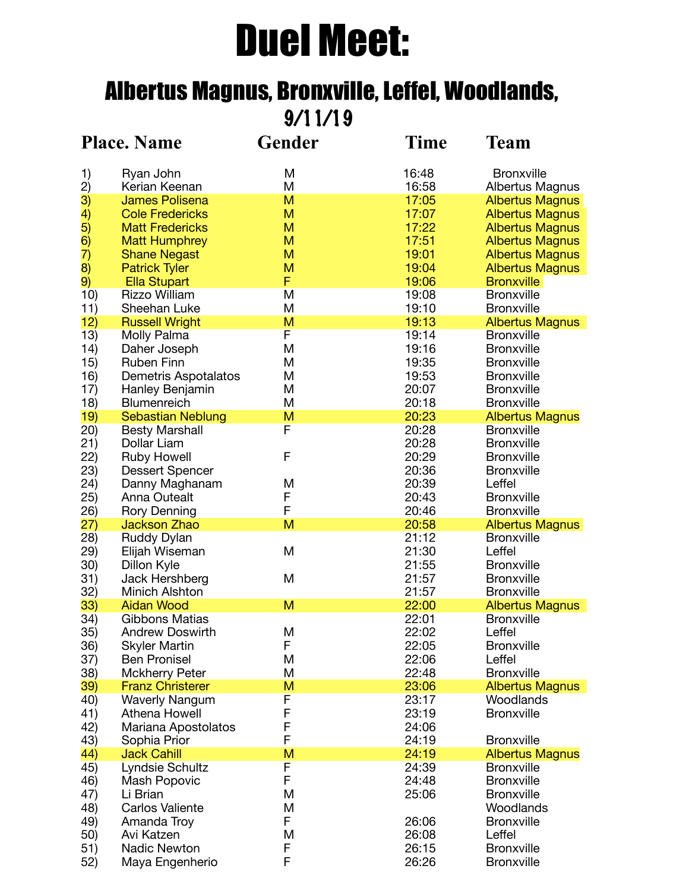# Duel Meet:

# Albertus Magnus, Bronxville, Leffel, Woodlands,

9/11/19

|                                       | <b>Place. Name</b>                          | <b>Gender</b> | <b>Time</b>    | <b>Team</b>                                      |
|---------------------------------------|---------------------------------------------|---------------|----------------|--------------------------------------------------|
| 1)                                    | Ryan John                                   | M             | 16:48          | <b>Bronxville</b>                                |
| $\begin{pmatrix} 2 \ 3 \end{pmatrix}$ | Kerian Keenan                               | M             | 16:58          | Albertus Magnus                                  |
|                                       | <b>James Polisena</b>                       | M             | 17:05          | <b>Albertus Magnus</b>                           |
| 4)                                    | <b>Cole Fredericks</b>                      | M             | 17:07          | <b>Albertus Magnus</b>                           |
|                                       | <b>Matt Fredericks</b>                      | M             | 17:22          | <b>Albertus Magnus</b>                           |
| 5)<br>6)<br>7)                        | <b>Matt Humphrey</b>                        | M<br>M        | 17:51<br>19:01 | <b>Albertus Magnus</b>                           |
| $\overline{8}$                        | <b>Shane Negast</b><br><b>Patrick Tyler</b> | M             | 19:04          | <b>Albertus Magnus</b><br><b>Albertus Magnus</b> |
| 9)                                    | <b>Ella Stupart</b>                         | F             | 19:06          | <b>Bronxville</b>                                |
| 10)                                   | <b>Rizzo William</b>                        | M             | 19:08          | <b>Bronxville</b>                                |
| 11)                                   | Sheehan Luke                                | M             | 19:10          | <b>Bronxville</b>                                |
| 12)                                   | <b>Russell Wright</b>                       | M             | 19:13          | <b>Albertus Magnus</b>                           |
| 13)                                   | Molly Palma                                 | F             | 19:14          | <b>Bronxville</b>                                |
| 14)                                   | Daher Joseph                                | M             | 19:16          | <b>Bronxville</b>                                |
| 15)                                   | <b>Ruben Finn</b>                           | M             | 19:35          | <b>Bronxville</b>                                |
| 16)                                   | <b>Demetris Aspotalatos</b>                 | M             | 19:53          | <b>Bronxville</b>                                |
| 17)                                   | Hanley Benjamin                             | M             | 20:07          | <b>Bronxville</b>                                |
| 18)                                   | <b>Blumenreich</b>                          | M             | 20:18          | <b>Bronxville</b>                                |
| 19)                                   | <b>Sebastian Neblung</b>                    | M             | 20:23          | <b>Albertus Magnus</b>                           |
| (20)                                  | <b>Besty Marshall</b>                       | F             | 20:28          | <b>Bronxville</b>                                |
| 21)                                   | Dollar Liam                                 |               | 20:28          | <b>Bronxville</b>                                |
| 22)                                   | <b>Ruby Howell</b>                          | F             | 20:29          | <b>Bronxville</b>                                |
| 23)                                   | <b>Dessert Spencer</b>                      |               | 20:36          | <b>Bronxville</b>                                |
| 24)                                   | Danny Maghanam                              | M             | 20:39          | Leffel                                           |
| 25)                                   | Anna Outealt                                | F             | 20:43          | <b>Bronxville</b>                                |
| 26)                                   | <b>Rory Denning</b>                         | F             | 20:46          | <b>Bronxville</b>                                |
| (27)                                  | Jackson Zhao                                | M             | 20:58          | <b>Albertus Magnus</b><br><b>Bronxville</b>      |
| 28)<br>29)                            | Ruddy Dylan<br>Elijah Wiseman               | M             | 21:12<br>21:30 | Leffel                                           |
| 30)                                   | Dillon Kyle                                 |               | 21:55          | <b>Bronxville</b>                                |
| 31)                                   | Jack Hershberg                              | M             | 21:57          | <b>Bronxville</b>                                |
| 32)                                   | <b>Minich Alshton</b>                       |               | 21:57          | <b>Bronxville</b>                                |
| 33)                                   | <b>Aidan Wood</b>                           | M             | 22:00          | <b>Albertus Magnus</b>                           |
| 34)                                   | <b>Gibbons Matias</b>                       |               | 22:01          | <b>Bronxville</b>                                |
| 35)                                   | <b>Andrew Doswirth</b>                      | M             | 22:02          | Leffel                                           |
| 36)                                   | <b>Skyler Martin</b>                        | F             | 22:05          | <b>Bronxville</b>                                |
| 37)                                   | <b>Ben Pronisel</b>                         | M             | 22:06          | Leffel                                           |
| 38)                                   | <b>Mckherry Peter</b>                       | M             | 22:48          | <b>Bronxville</b>                                |
| 39)                                   | <b>Franz Christerer</b>                     | M             | 23:06          | <b>Albertus Magnus</b>                           |
| 40)                                   | <b>Waverly Nangum</b>                       | F             | 23:17          | Woodlands                                        |
| 41)                                   | Athena Howell                               | F             | 23:19          | <b>Bronxville</b>                                |
| 42)                                   | Mariana Apostolatos                         | F             | 24:06          |                                                  |
| 43)                                   | Sophia Prior                                | F             | 24:19          | <b>Bronxville</b>                                |
| 44)                                   | <b>Jack Cahill</b>                          | M             | 24:19          | <b>Albertus Magnus</b>                           |
| 45)                                   | Lyndsie Schultz                             | F             | 24:39          | <b>Bronxville</b>                                |
| 46)                                   | Mash Popovic                                | F             | 24:48          | <b>Bronxville</b>                                |
| 47)                                   | Li Brian                                    | M             | 25:06          | <b>Bronxville</b>                                |
| 48)                                   | <b>Carlos Valiente</b>                      | M<br>F        | 26:06          | Woodlands<br><b>Bronxville</b>                   |
| 49)<br>50)                            | Amanda Troy<br>Avi Katzen                   | M             | 26:08          | Leffel                                           |
| 51)                                   | <b>Nadic Newton</b>                         | F             | 26:15          | <b>Bronxville</b>                                |
| 52)                                   | Maya Engenherio                             | F             | 26:26          | <b>Bronxville</b>                                |
|                                       |                                             |               |                |                                                  |